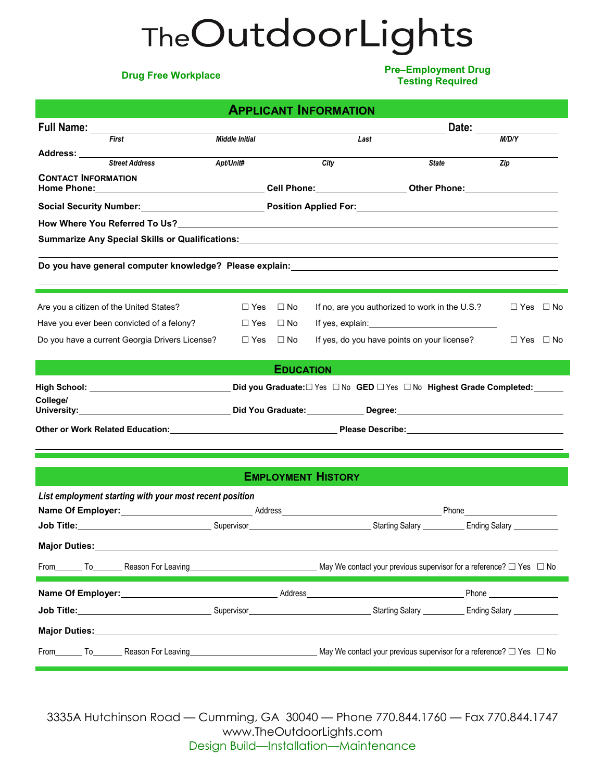# TheOutdoorLights

**Drug Free Workplace Pre–Employment Drug Testing Required**

|                                                                                                                                                                                                                                     | <b>APPLICANT INFORMATION</b> |                           |                                                                                                                                                                                                                                      |                                                                                                                                                                                                                                    |
|-------------------------------------------------------------------------------------------------------------------------------------------------------------------------------------------------------------------------------------|------------------------------|---------------------------|--------------------------------------------------------------------------------------------------------------------------------------------------------------------------------------------------------------------------------------|------------------------------------------------------------------------------------------------------------------------------------------------------------------------------------------------------------------------------------|
| Full Name:                                                                                                                                                                                                                          |                              |                           | Date:                                                                                                                                                                                                                                |                                                                                                                                                                                                                                    |
| First                                                                                                                                                                                                                               | <b>Middle Initial</b>        |                           | Last                                                                                                                                                                                                                                 | M/D/Y                                                                                                                                                                                                                              |
| Address: _____<br><b>Street Address</b>                                                                                                                                                                                             | Apt/Unit#                    | City                      | <b>State</b>                                                                                                                                                                                                                         | Zip                                                                                                                                                                                                                                |
| <b>CONTACT INFORMATION</b>                                                                                                                                                                                                          |                              |                           |                                                                                                                                                                                                                                      |                                                                                                                                                                                                                                    |
|                                                                                                                                                                                                                                     |                              |                           |                                                                                                                                                                                                                                      |                                                                                                                                                                                                                                    |
|                                                                                                                                                                                                                                     |                              |                           |                                                                                                                                                                                                                                      |                                                                                                                                                                                                                                    |
|                                                                                                                                                                                                                                     |                              |                           |                                                                                                                                                                                                                                      |                                                                                                                                                                                                                                    |
| Summarize Any Special Skills or Qualifications:__________________________________                                                                                                                                                   |                              |                           |                                                                                                                                                                                                                                      |                                                                                                                                                                                                                                    |
|                                                                                                                                                                                                                                     |                              |                           |                                                                                                                                                                                                                                      |                                                                                                                                                                                                                                    |
| Do you have general computer knowledge? Please explain:_________________________                                                                                                                                                    |                              |                           |                                                                                                                                                                                                                                      |                                                                                                                                                                                                                                    |
|                                                                                                                                                                                                                                     |                              |                           |                                                                                                                                                                                                                                      |                                                                                                                                                                                                                                    |
| Are you a citizen of the United States?                                                                                                                                                                                             | $\Box$ Yes<br>$\Box$ No      |                           | If no, are you authorized to work in the U.S.?                                                                                                                                                                                       | $\Box$ Yes $\Box$ No                                                                                                                                                                                                               |
| Have you ever been convicted of a felony?                                                                                                                                                                                           | $\Box$ Yes<br>$\square$ No   |                           | If yes, explain: <u>contract the set of the set of the set of the set of the set of the set of the set of the set of the set of the set of the set of the set of the set of the set of the set of the set of the set of the set </u> |                                                                                                                                                                                                                                    |
| Do you have a current Georgia Drivers License?                                                                                                                                                                                      | $\Box$ Yes $\Box$ No         |                           | If yes, do you have points on your license?                                                                                                                                                                                          | $\Box$ Yes $\Box$ No                                                                                                                                                                                                               |
|                                                                                                                                                                                                                                     |                              |                           |                                                                                                                                                                                                                                      |                                                                                                                                                                                                                                    |
|                                                                                                                                                                                                                                     |                              | <b>EDUCATION</b>          |                                                                                                                                                                                                                                      |                                                                                                                                                                                                                                    |
|                                                                                                                                                                                                                                     |                              |                           |                                                                                                                                                                                                                                      |                                                                                                                                                                                                                                    |
| College/                                                                                                                                                                                                                            |                              |                           |                                                                                                                                                                                                                                      |                                                                                                                                                                                                                                    |
|                                                                                                                                                                                                                                     |                              |                           |                                                                                                                                                                                                                                      |                                                                                                                                                                                                                                    |
|                                                                                                                                                                                                                                     |                              |                           |                                                                                                                                                                                                                                      |                                                                                                                                                                                                                                    |
|                                                                                                                                                                                                                                     |                              |                           |                                                                                                                                                                                                                                      |                                                                                                                                                                                                                                    |
|                                                                                                                                                                                                                                     |                              | <b>EMPLOYMENT HISTORY</b> |                                                                                                                                                                                                                                      |                                                                                                                                                                                                                                    |
|                                                                                                                                                                                                                                     |                              |                           |                                                                                                                                                                                                                                      |                                                                                                                                                                                                                                    |
| List employment starting with your most recent position                                                                                                                                                                             |                              |                           |                                                                                                                                                                                                                                      |                                                                                                                                                                                                                                    |
|                                                                                                                                                                                                                                     |                              |                           |                                                                                                                                                                                                                                      |                                                                                                                                                                                                                                    |
| <b>Job Title:</b> Ending Salary Contract on the Supervisor Community Contract Contract Contract Contract Contract Contract Contract Contract Contract Contract Contract Contract Contract Contract Contract Contract Contract Contr |                              |                           |                                                                                                                                                                                                                                      |                                                                                                                                                                                                                                    |
| <b>Major Duties:</b>                                                                                                                                                                                                                |                              |                           |                                                                                                                                                                                                                                      |                                                                                                                                                                                                                                    |
| Reason For Leaving<br>From<br>To                                                                                                                                                                                                    |                              |                           | May We contact your previous supervisor for a reference? $\Box$ Yes $\Box$ No                                                                                                                                                        |                                                                                                                                                                                                                                    |
|                                                                                                                                                                                                                                     |                              |                           |                                                                                                                                                                                                                                      |                                                                                                                                                                                                                                    |
| Name Of Employer:                                                                                                                                                                                                                   | Address                      |                           |                                                                                                                                                                                                                                      | <b>Phone Contract Contract Contract Contract Contract Contract Contract Contract Contract Contract Contract Contract Contract Contract Contract Contract Contract Contract Contract Contract Contract Contract Contract Contra</b> |
| <b>Job Title:</b>                                                                                                                                                                                                                   | Supervisor                   |                           | <b>Starting Salary</b>                                                                                                                                                                                                               | <b>Ending Salary</b>                                                                                                                                                                                                               |

**Major Duties:**

From To Reason For Leaving The May We contact your previous supervisor for a reference?  $\Box$  Yes  $\Box$  No

3335A Hutchinson Road — Cumming, GA 30040 — Phone 770.844.1760 — Fax 770.844.1747 www.TheOutdoorLights.com Design Build—Installation—Maintenance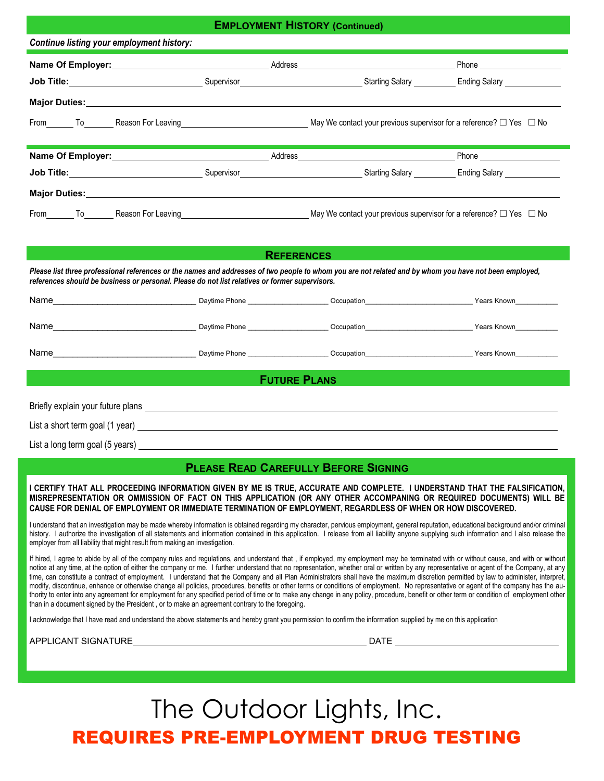### **Employment History** *Continued* **EMPLOYMENT HISTORY (Continued)**

| Continue listing your employment history:                                                                                                                                                                                           |                                         |                                                                                                                                                                                                                                     |                                                           |  |
|-------------------------------------------------------------------------------------------------------------------------------------------------------------------------------------------------------------------------------------|-----------------------------------------|-------------------------------------------------------------------------------------------------------------------------------------------------------------------------------------------------------------------------------------|-----------------------------------------------------------|--|
| Name Of Employer:<br><u> </u>                                                                                                                                                                                                       |                                         | Address <u>experience</u> and the contract of the contract of the contract of the contract of the contract of the contract of the contract of the contract of the contract of the contract of the contract of the contract of the c |                                                           |  |
| Job Title:____________________________                                                                                                                                                                                              | Supervisor <b>Supervisor Supervisor</b> |                                                                                                                                                                                                                                     | Starting Salary ____________ Ending Salary ______________ |  |
| Major Duties: Major Duties: Major Duties: Major Duties: Major Duties: Major Duties: Major Duties: Major Duties                                                                                                                      |                                         |                                                                                                                                                                                                                                     |                                                           |  |
|                                                                                                                                                                                                                                     |                                         |                                                                                                                                                                                                                                     |                                                           |  |
|                                                                                                                                                                                                                                     |                                         |                                                                                                                                                                                                                                     |                                                           |  |
|                                                                                                                                                                                                                                     |                                         |                                                                                                                                                                                                                                     |                                                           |  |
|                                                                                                                                                                                                                                     |                                         |                                                                                                                                                                                                                                     |                                                           |  |
| <b>Job Title:</b> Contract the Contract of Contract of Contract Contract Contract Contract Contract Contract Contract Contract Contract Contract Contract Contract Contract Contract Contract Contract Contract Contract Contract C |                                         |                                                                                                                                                                                                                                     |                                                           |  |
| Major Duties: Major Duties:                                                                                                                                                                                                         |                                         |                                                                                                                                                                                                                                     |                                                           |  |
| From To Reason For Leaving Company of the May We contact your previous supervisor for a reference? □ Yes □ No                                                                                                                       |                                         |                                                                                                                                                                                                                                     |                                                           |  |

| <b>REFERENCES</b>                                                                                                                                                                                                                                        |  |                                             |                                                                                                                                                                                                                                      |
|----------------------------------------------------------------------------------------------------------------------------------------------------------------------------------------------------------------------------------------------------------|--|---------------------------------------------|--------------------------------------------------------------------------------------------------------------------------------------------------------------------------------------------------------------------------------------|
| Please list three professional references or the names and addresses of two people to whom you are not related and by whom you have not been employed,<br>references should be business or personal. Please do not list relatives or former supervisors. |  |                                             |                                                                                                                                                                                                                                      |
|                                                                                                                                                                                                                                                          |  |                                             | Name <b>Mame Mame Communicate Communicate Communicate Communicate Communicate Communicate Communicate Communicate Communicate Communicate Communicate Communicate Communicate Communicate Communicate Communicate Communicate Co</b> |
|                                                                                                                                                                                                                                                          |  |                                             |                                                                                                                                                                                                                                      |
|                                                                                                                                                                                                                                                          |  |                                             |                                                                                                                                                                                                                                      |
|                                                                                                                                                                                                                                                          |  | <b>FUTURE PLANS</b>                         |                                                                                                                                                                                                                                      |
|                                                                                                                                                                                                                                                          |  |                                             |                                                                                                                                                                                                                                      |
| List a short term goal (1 year) example and the state of the state of the state of the state of the state of the state of the state of the state of the state of the state of the state of the state of the state of the state                           |  |                                             |                                                                                                                                                                                                                                      |
| List a long term goal (5 years) Later and the control of the control of the control of the control of the control of the control of the control of the control of the control of the control of the control of the control of                            |  |                                             |                                                                                                                                                                                                                                      |
|                                                                                                                                                                                                                                                          |  | <b>PLEASE READ CAREFULLY BEFORE SIGNING</b> |                                                                                                                                                                                                                                      |

**I CERTIFY THAT ALL PROCEEDING INFORMATION GIVEN BY ME IS TRUE, ACCURATE AND COMPLETE. I UNDERSTAND THAT THE FALSIFICATION, MISREPRESENTATION OR OMMISSION OF FACT ON THIS APPLICATION (OR ANY OTHER ACCOMPANING OR REQUIRED DOCUMENTS) WILL BE CAUSE FOR DENIAL OF EMPLOYMENT OR IMMEDIATE TERMINATION OF EMPLOYMENT, REGARDLESS OF WHEN OR HOW DISCOVERED.**

I understand that an investigation may be made whereby information is obtained regarding my character, pervious employment, general reputation, educational background and/or criminal history. I authorize the investigation of all statements and information contained in this application. I release from all liability anyone supplying such information and I also release the employer from all liability that might result from making an investigation.

If hired, I agree to abide by all of the company rules and regulations, and understand that, if employed, my employment may be terminated with or without cause, and with or without notice at any time, at the option of either the company or me. I further understand that no representation, whether oral or written by any representative or agent of the Company, at any time, can constitute a contract of employment. I understand that the Company and all Plan Administrators shall have the maximum discretion permitted by law to administer, interpret, modify, discontinue, enhance or otherwise change all policies, procedures, benefits or other terms or conditions of employment. No representative or agent of the company has the authority to enter into any agreement for employment for any specified period of time or to make any change in any policy, procedure, benefit or other term or condition of employment other than in a document signed by the President , or to make an agreement contrary to the foregoing.

I acknowledge that I have read and understand the above statements and hereby grant you permission to confirm the information supplied by me on this application

APPLICANT SIGNATURE **External of the SIGNATURE DATE** 

## The Outdoor Lights, Inc. REQUIRES PRE-EMPLOYMENT DRUG TESTING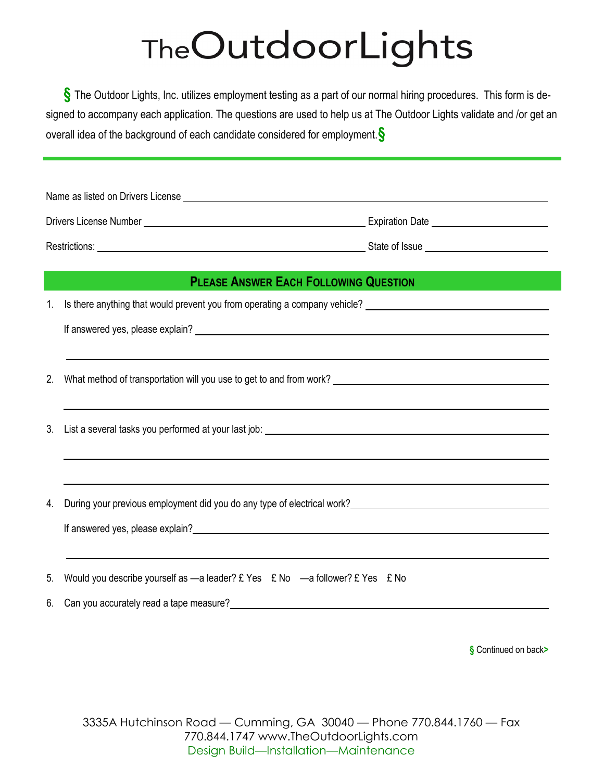# TheOutdoorLights

**§** The Outdoor Lights, Inc. utilizes employment testing as a part of our normal hiring procedures. This form is designed to accompany each application. The questions are used to help us at The Outdoor Lights validate and /or get an overall idea of the background of each candidate considered for employment.**§** 

| Name as listed on Drivers License |                        |  |
|-----------------------------------|------------------------|--|
| Drivers License Number            | <b>Expiration Date</b> |  |
| Restrictions:                     | State of Issue         |  |

### **PLEASE ANSWER EACH FOLLOWING QUESTION**

1. Is there anything that would prevent you from operating a company vehicle?

If answered yes, please explain?

- 2. What method of transportation will you use to get to and from work?
- 3. List a several tasks you performed at your last job:
- 4. During your previous employment did you do any type of electrical work?

If answered yes, please explain?

5. Would you describe yourself as -a leader? £ Yes £ No -a follower? £ Yes £ No

6. Can you accurately read a tape measure?

**§** Continued on back**>**